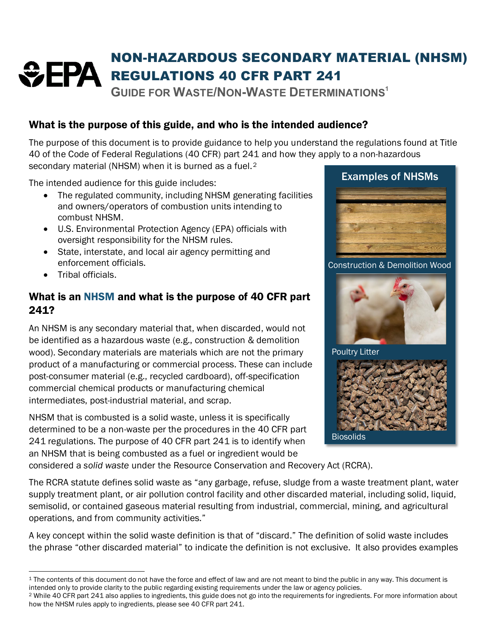# NON-HAZARDOUS SECONDARY MATERIAL (NHSM) *<del>C</del>EPA* REGULATIONS 40 CFR PART 241

**GUIDE FOR WASTE/NON-WASTE DETERMINATIONS[1](#page-0-0)**

# What is the purpose of this guide, and who is the intended audience?

The purpose of this document is to provide guidance to help you understand the regulations found at Title 40 of the Code of Federal Regulations (40 CFR) part 241 and how they apply to a non-hazardous secondary material (NHSM) when it is burned as a fuel.<sup>2</sup>

The intended audience for this guide includes:

- The regulated community, including NHSM generating facilities and owners/operators of combustion units intending to combust NHSM.
- U.S. Environmental Protection Agency (EPA) officials with oversight responsibility for the NHSM rules.
- State, interstate, and local air agency permitting and enforcement officials.
- Tribal officials.

## What is an NHSM and what is the purpose of 40 CFR part 241?

An NHSM is any secondary material that, when discarded, would not be identified as a hazardous waste (e.g., construction & demolition wood). Secondary materials are materials which are not the primary product of a manufacturing or commercial process. These can include post-consumer material (e.g., recycled cardboard), off-specification commercial chemical products or manufacturing chemical intermediates, post-industrial material, and scrap.

NHSM that is combusted is a solid waste, unless it is specifically determined to be a non-waste per the procedures in the 40 CFR part 241 regulations. The purpose of 40 CFR part 241 is to identify when an NHSM that is being combusted as a fuel or ingredient would be

Examples of NHSMs Construction & Demolition Wood



Poultry Litter



considered a *solid waste* under the Resource Conservation and Recovery Act (RCRA).

The RCRA statute defines solid waste as "any garbage, refuse, sludge from a waste treatment plant, water supply treatment plant, or air pollution control facility and other discarded material, including solid, liquid, semisolid, or contained gaseous material resulting from industrial, commercial, mining, and agricultural operations, and from community activities."

A key concept within the solid waste definition is that of "discard." The definition of solid waste includes the phrase "other discarded material" to indicate the definition is not exclusive. It also provides examples

<span id="page-0-0"></span><sup>&</sup>lt;sup>1</sup> The contents of this document do not have the force and effect of law and are not meant to bind the public in any way. This document is intended only to provide clarity to the public regarding existing requirements under the law or agency policies.

<span id="page-0-1"></span><sup>2</sup> While 40 CFR part 241 also applies to ingredients, this guide does not go into the requirements for ingredients. For more information about how the NHSM rules apply to ingredients, please see 40 CFR part 241.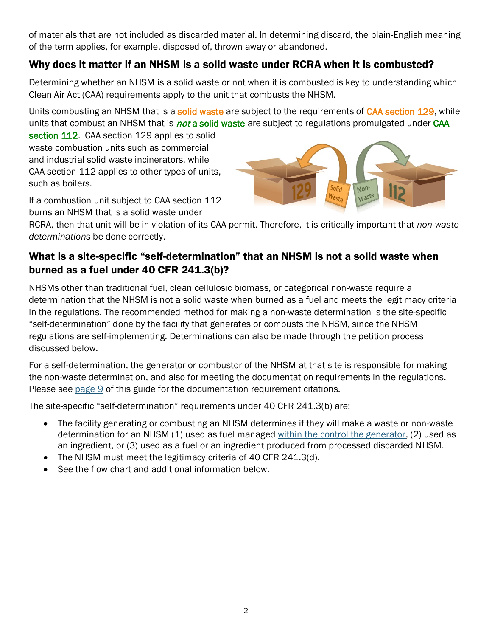of materials that are not included as discarded material. In determining discard, the plain-English meaning of the term applies, for example, disposed of, thrown away or abandoned.

#### Why does it matter if an NHSM is a solid waste under RCRA when it is combusted?

Determining whether an NHSM is a solid waste or not when it is combusted is key to understanding which Clean Air Act (CAA) requirements apply to the unit that combusts the NHSM.

Units combusting an NHSM that is a solid waste are subject to the requirements of CAA section 129, while units that combust an NHSM that is *not* a solid waste are subject to regulations promulgated under CAA

section 112. CAA section 129 applies to solid waste combustion units such as commercial and industrial solid waste incinerators, while CAA section 112 applies to other types of units, such as boilers.

If a combustion unit subject to CAA section 112 burns an NHSM that is a solid waste under



RCRA, then that unit will be in violation of its CAA permit. Therefore, it is critically important that *non-waste determination*s be done correctly.

## What is a site-specific "self-determination" that an NHSM is not a solid waste when burned as a fuel under 40 CFR 241.3(b)?

NHSMs other than traditional fuel, clean cellulosic biomass, or categorical non-waste require a determination that the NHSM is not a solid waste when burned as a fuel and meets the legitimacy criteria in the regulations. The recommended method for making a non-waste determination is the site-specific "self-determination" done by the facility that generates or combusts the NHSM, since the NHSM regulations are self-implementing. Determinations can also be made through the petition process discussed below.

For a self-determination, the generator or combustor of the NHSM at that site is responsible for making the non-waste determination, and also for meeting the documentation requirements in the regulations. Please see [page 9](#page-8-0) of this guide for the documentation requirement citations.

The site-specific "self-determination" requirements under 40 CFR 241.3(b) are:

- The facility generating or combusting an NHSM determines if they will make a waste or non-waste determination for an NHSM (1) used as fuel managed [within the control the generator,](#page-3-0) (2) used as an ingredient, or (3) used as a fuel or an ingredient produced from processed discarded NHSM.
- The NHSM must meet the legitimacy criteria of 40 CFR 241.3(d).
- See the flow chart and additional information below.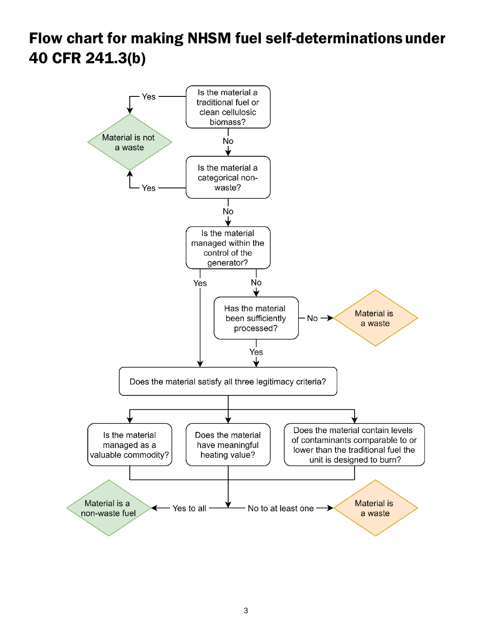# Flow chart for making NHSM fuel self-determinationsunder 40 CFR 241.3(b)

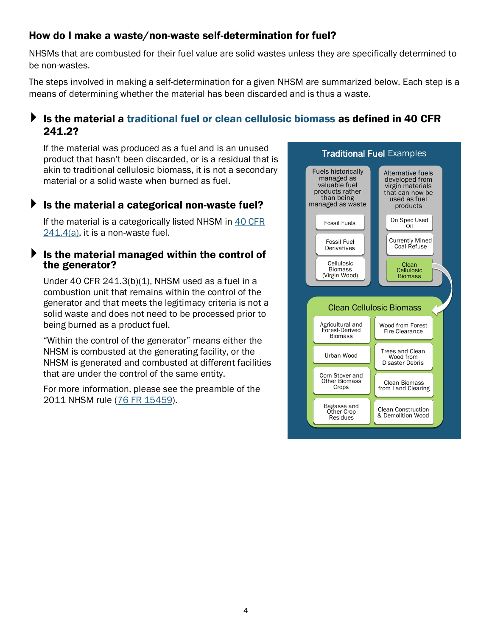#### How do I make a waste/non-waste self-determination for fuel?

NHSMs that are combusted for their fuel value are solid wastes unless they are specifically determined to be non-wastes.

The steps involved in making a self-determination for a given NHSM are summarized below. Each step is a means of determining whether the material has been discarded and is thus a waste.

#### $\blacktriangleright$  Is the material a traditional fuel or clean cellulosic biomass as defined in 40 CFR 241.2?

If the material was produced as a fuel and is an unused product that hasn't been discarded, or is a residual that is akin to traditional cellulosic biomass, it is not a secondary material or a solid waste when burned as fuel.

#### $\blacktriangleright$  is the material a categorical non-waste fuel?

If the material is a categorically listed NHSM in [40 CFR](https://www.ecfr.gov/cgi-bin/text-idx?SID=68f47cb7c40a2d95a076ccc69a48f20d&mc=true&node=se40.27.241_14&rgn=div8)  [241.4\(a\),](https://www.ecfr.gov/cgi-bin/text-idx?SID=68f47cb7c40a2d95a076ccc69a48f20d&mc=true&node=se40.27.241_14&rgn=div8) it is a non-waste fuel.

#### <span id="page-3-0"></span>Is the material managed within the control of the generator?

Under 40 CFR 241.3(b)(1), NHSM used as a fuel in a combustion unit that remains within the control of the generator and that meets the legitimacy criteria is not a solid waste and does not need to be processed prior to being burned as a product fuel.

"Within the control of the generator" means either the NHSM is combusted at the generating facility, or the NHSM is generated and combusted at different facilities that are under the control of the same entity.

For more information, please see the preamble of the 2011 NHSM rule [\(76 FR 15459\)](https://www.govinfo.gov/content/pkg/FR-2011-03-21/pdf/2011-4492.pdf#page=5).

![](_page_3_Figure_11.jpeg)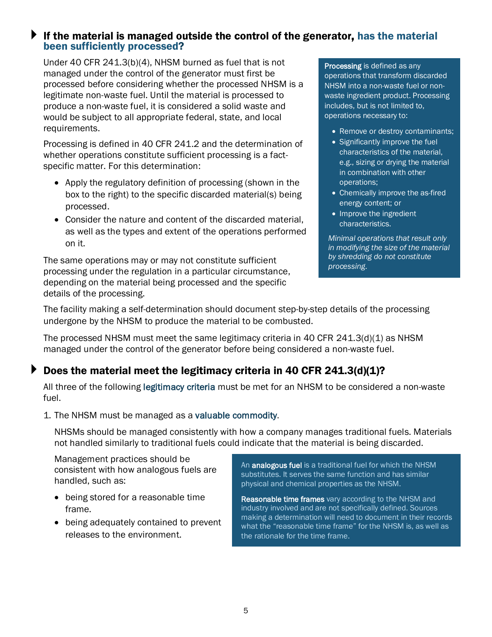#### If the material is managed outside the control of the generator, has the material been sufficiently processed?

Under 40 CFR 241.3(b)(4), NHSM burned as fuel that is not managed under the control of the generator must first be processed before considering whether the processed NHSM is a legitimate non-waste fuel. Until the material is processed to produce a non-waste fuel, it is considered a solid waste and would be subject to all appropriate federal, state, and local requirements.

Processing is defined in 40 CFR 241.2 and the determination of whether operations constitute sufficient processing is a factspecific matter. For this determination:

- Apply the regulatory definition of processing (shown in the box to the right) to the specific discarded material(s) being processed.
- Consider the nature and content of the discarded material, as well as the types and extent of the operations performed on it.

The same operations may or may not constitute sufficient processing under the regulation in a particular circumstance, depending on the material being processed and the specific details of the processing.

Processing is defined as any operations that transform discarded NHSM into a non-waste fuel or nonwaste ingredient product. Processing includes, but is not limited to, operations necessary to:

- Remove or destroy contaminants;
- Significantly improve the fuel characteristics of the material, e.g., sizing or drying the material in combination with other operations;
- Chemically improve the as-fired energy content; or
- Improve the ingredient characteristics.

*Minimal operations that result only in modifying the size of the material by shredding do not constitute processing*.

The facility making a self-determination should document step-by-step details of the processing undergone by the NHSM to produce the material to be combusted.

The processed NHSM must meet the same legitimacy criteria in 40 CFR  $241.3(d)(1)$  as NHSM managed under the control of the generator before being considered a non-waste fuel.

# Does the material meet the legitimacy criteria in 40 CFR 241.3(d)(1)?

All three of the following legitimacy criteria must be met for an NHSM to be considered a non-waste fuel.

1. The NHSM must be managed as a valuable commodity.

NHSMs should be managed consistently with how a company manages traditional fuels. Materials not handled similarly to traditional fuels could indicate that the material is being discarded.

Management practices should be consistent with how analogous fuels are handled, such as:

- being stored for a reasonable time frame.
- being adequately contained to prevent releases to the environment.

An analogous fuel is a traditional fuel for which the NHSM substitutes. It serves the same function and has similar physical and chemical properties as the NHSM.

Reasonable time frames vary according to the NHSM and industry involved and are not specifically defined. Sources making a determination will need to document in their records what the "reasonable time frame" for the NHSM is, as well as the rationale for the time frame.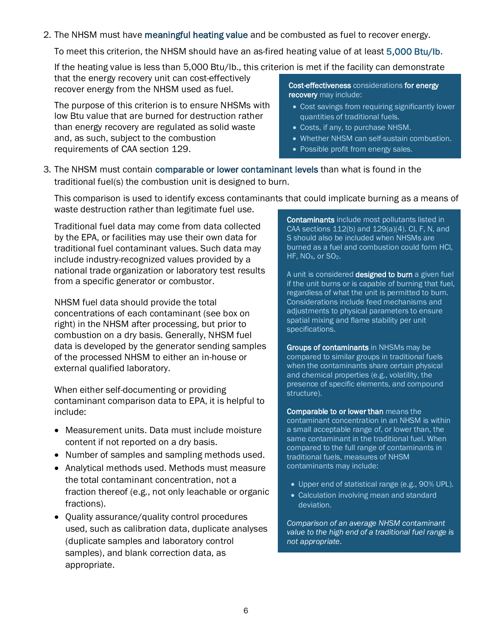2. The NHSM must have meaningful heating value and be combusted as fuel to recover energy.

To meet this criterion, the NHSM should have an as-fired heating value of at least 5,000 Btu/lb.

If the heating value is less than 5,000 Btu/lb., this criterion is met if the facility can demonstrate

that the energy recovery unit can cost-effectively recover energy from the NHSM used as fuel.

The purpose of this criterion is to ensure NHSMs with low Btu value that are burned for destruction rather than energy recovery are regulated as solid waste and, as such, subject to the combustion requirements of CAA section 129.

Cost-effectiveness considerations for energy recovery may include:

- Cost savings from requiring significantly lower quantities of traditional fuels.
- Costs, if any, to purchase NHSM.
- Whether NHSM can self-sustain combustion.
- Possible profit from energy sales.
- 3. The NHSM must contain comparable or lower contaminant levels than what is found in the traditional fuel(s) the combustion unit is designed to burn.

This comparison is used to identify excess contaminants that could implicate burning as a means of waste destruction rather than legitimate fuel use.

Traditional fuel data may come from data collected by the EPA, or facilities may use their own data for traditional fuel contaminant values. Such data may include industry-recognized values provided by a national trade organization or laboratory test results from a specific generator or combustor.

NHSM fuel data should provide the total concentrations of each contaminant (see box on right) in the NHSM after processing, but prior to combustion on a dry basis. Generally, NHSM fuel data is developed by the generator sending samples of the processed NHSM to either an in-house or external qualified laboratory.

When either self-documenting or providing contaminant comparison data to EPA, it is helpful to include:

- Measurement units. Data must include moisture content if not reported on a dry basis.
- Number of samples and sampling methods used.
- Analytical methods used. Methods must measure the total contaminant concentration, not a fraction thereof (e.g., not only leachable or organic fractions).
- Quality assurance/quality control procedures used, such as calibration data, duplicate analyses (duplicate samples and laboratory control samples), and blank correction data, as appropriate.

Contaminants include most pollutants listed in CAA sections 112(b) and 129(a)(4). Cl, F, N, and S should also be included when NHSMs are burned as a fuel and combustion could form HCl, HF, NO<sub>x</sub>, or SO<sub>2</sub>.

A unit is considered designed to burn a given fuel if the unit burns or is capable of burning that fuel, regardless of what the unit is permitted to burn. Considerations include feed mechanisms and adjustments to physical parameters to ensure spatial mixing and flame stability per unit specifications.

Groups of contaminants in NHSMs may be compared to similar groups in traditional fuels when the contaminants share certain physical and chemical properties (e.g., volatility, the presence of specific elements, and compound structure).

Comparable to or lower than means the contaminant concentration in an NHSM is within a small acceptable range of, or lower than, the same contaminant in the traditional fuel. When compared to the full range of contaminants in traditional fuels, measures of NHSM contaminants may include:

- Upper end of statistical range (e.g., 90% UPL).
- Calculation involving mean and standard deviation.

*Comparison of an average NHSM contaminant value to the high end of a traditional fuel range is not appropriate*.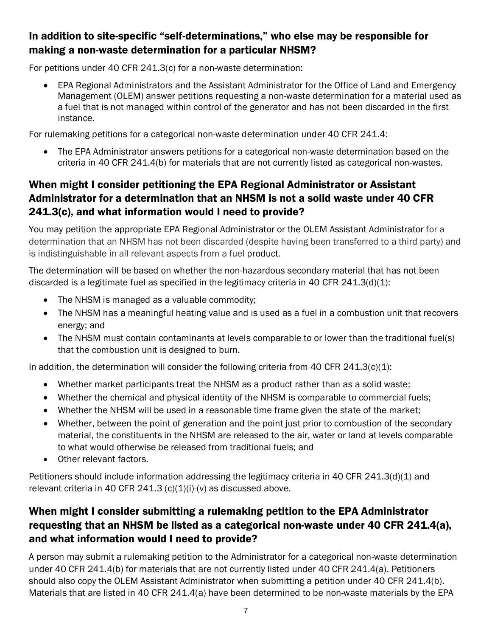## In addition to site-specific "self-determinations," who else may be responsible for making a non-waste determination for a particular NHSM?

For petitions under 40 CFR 241.3(c) for a non-waste determination:

• EPA Regional Administrators and the Assistant Administrator for the Office of Land and Emergency Management (OLEM) answer petitions requesting a non-waste determination for a material used as a fuel that is not managed within control of the generator and has not been discarded in the first instance.

For rulemaking petitions for a categorical non-waste determination under 40 CFR 241.4:

• The EPA Administrator answers petitions for a categorical non-waste determination based on the criteria in 40 CFR 241.4(b) for materials that are not currently listed as categorical non-wastes.

## When might I consider petitioning the EPA Regional Administrator or Assistant Administrator for a determination that an NHSM is not a solid waste under 40 CFR 241.3(c), and what information would I need to provide?

You may petition the appropriate EPA Regional Administrator or the OLEM Assistant Administrator for a determination that an NHSM has not been discarded (despite having been transferred to a third party) and is indistinguishable in all relevant aspects from a fuel product.

The determination will be based on whether the non-hazardous secondary material that has not been discarded is a legitimate fuel as specified in the legitimacy criteria in 40 CFR  $241.3(d)(1)$ :

- The NHSM is managed as a valuable commodity;
- The NHSM has a meaningful heating value and is used as a fuel in a combustion unit that recovers energy; and
- The NHSM must contain contaminants at levels comparable to or lower than the traditional fuel(s) that the combustion unit is designed to burn.

In addition, the determination will consider the following criteria from 40 CFR 241.3(c)(1):

- Whether market participants treat the NHSM as a product rather than as a solid waste;
- Whether the chemical and physical identity of the NHSM is comparable to commercial fuels;
- Whether the NHSM will be used in a reasonable time frame given the state of the market;
- Whether, between the point of generation and the point just prior to combustion of the secondary material, the constituents in the NHSM are released to the air, water or land at levels comparable to what would otherwise be released from traditional fuels; and
- Other relevant factors.

Petitioners should include information addressing the legitimacy criteria in 40 CFR 241.3(d)(1) and relevant criteria in 40 CFR 241.3  $(c)(1)(i)-(v)$  as discussed above.

# When might I consider submitting a rulemaking petition to the EPA Administrator requesting that an NHSM be listed as a categorical non-waste under 40 CFR 241.4(a), and what information would I need to provide?

A person may submit a rulemaking petition to the Administrator for a categorical non-waste determination under 40 CFR 241.4(b) for materials that are not currently listed under 40 CFR 241.4(a). Petitioners should also copy the OLEM Assistant Administrator when submitting a petition under 40 CFR 241.4(b). Materials that are listed in 40 CFR 241.4(a) have been determined to be non-waste materials by the EPA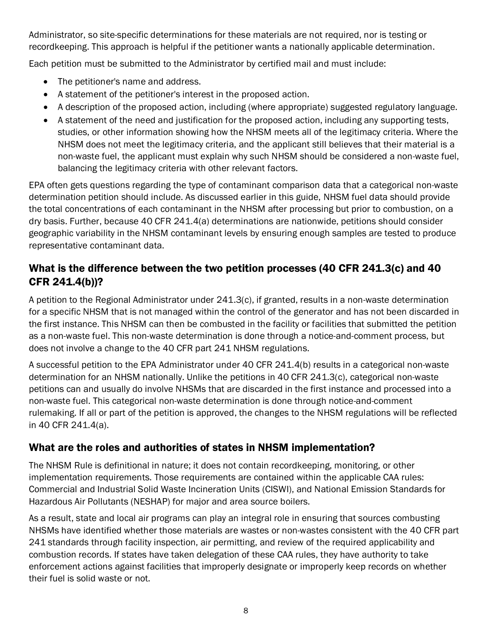Administrator, so site-specific determinations for these materials are not required, nor is testing or recordkeeping. This approach is helpful if the petitioner wants a nationally applicable determination.

Each petition must be submitted to the Administrator by certified mail and must include:

- The petitioner's name and address.
- A statement of the petitioner's interest in the proposed action.
- A description of the proposed action, including (where appropriate) suggested regulatory language.
- A statement of the need and justification for the proposed action, including any supporting tests, studies, or other information showing how the NHSM meets all of the legitimacy criteria. Where the NHSM does not meet the legitimacy criteria, and the applicant still believes that their material is a non-waste fuel, the applicant must explain why such NHSM should be considered a non-waste fuel, balancing the legitimacy criteria with other relevant factors.

EPA often gets questions regarding the type of contaminant comparison data that a categorical non-waste determination petition should include. As discussed earlier in this guide, NHSM fuel data should provide the total concentrations of each contaminant in the NHSM after processing but prior to combustion, on a dry basis. Further, because 40 CFR 241.4(a) determinations are nationwide, petitions should consider geographic variability in the NHSM contaminant levels by ensuring enough samples are tested to produce representative contaminant data.

# What is the difference between the two petition processes (40 CFR 241.3(c) and 40 CFR 241.4(b))?

A petition to the Regional Administrator under 241.3(c), if granted, results in a non-waste determination for a specific NHSM that is not managed within the control of the generator and has not been discarded in the first instance. This NHSM can then be combusted in the facility or facilities that submitted the petition as a non-waste fuel. This non-waste determination is done through a notice-and-comment process, but does not involve a change to the 40 CFR part 241 NHSM regulations.

A successful petition to the EPA Administrator under 40 CFR 241.4(b) results in a categorical non-waste determination for an NHSM nationally. Unlike the petitions in 40 CFR 241.3(c), categorical non-waste petitions can and usually do involve NHSMs that are discarded in the first instance and processed into a non-waste fuel. This categorical non-waste determination is done through notice-and-comment rulemaking. If all or part of the petition is approved, the changes to the NHSM regulations will be reflected in 40 CFR 241.4(a).

# What are the roles and authorities of states in NHSM implementation?

The NHSM Rule is definitional in nature; it does not contain recordkeeping, monitoring, or other implementation requirements. Those requirements are contained within the applicable CAA rules: Commercial and Industrial Solid Waste Incineration Units (CISWI), and National Emission Standards for Hazardous Air Pollutants (NESHAP) for major and area source boilers.

As a result, state and local air programs can play an integral role in ensuring that sources combusting NHSMs have identified whether those materials are wastes or non-wastes consistent with the 40 CFR part 241 standards through facility inspection, air permitting, and review of the required applicability and combustion records. If states have taken delegation of these CAA rules, they have authority to take enforcement actions against facilities that improperly designate or improperly keep records on whether their fuel is solid waste or not.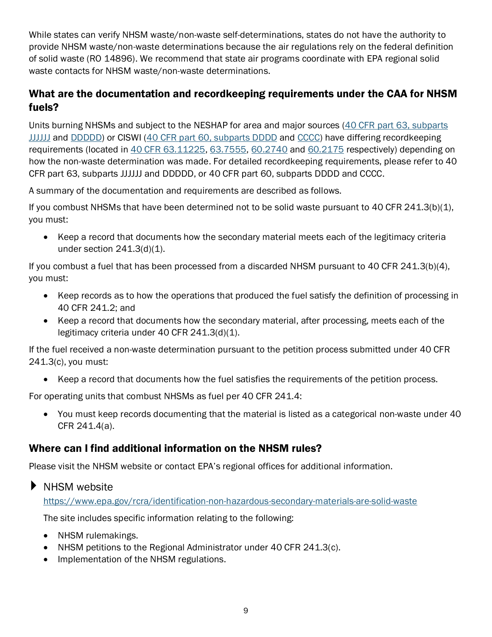While states can verify NHSM waste/non-waste self-determinations, states do not have the authority to provide NHSM waste/non-waste determinations because the air regulations rely on the federal definition of solid waste (RO 14896). We recommend that state air programs coordinate with EPA regional solid waste contacts for NHSM waste/non-waste determinations.

#### <span id="page-8-0"></span>What are the documentation and recordkeeping requirements under the CAA for NHSM fuels?

Units burning NHSMs and subject to the NESHAP for area and major sources [\(40 CFR part 63, subparts](https://www.ecfr.gov/cgi-bin/text-idx?node=sp40.15.63.jjjjjj) [JJJJJJ](https://www.ecfr.gov/cgi-bin/text-idx?node=sp40.15.63.jjjjjj) and [DDDDD\)](https://www.ecfr.gov/cgi-bin/text-idx?node=sp40.14.63.ddddd) or CISWI [\(40 CFR part 60, subparts DDDD](https://www.ecfr.gov/cgi-bin/text-idx?node=sp40.7.60.dddd) and [CCCC\)](https://www.ecfr.gov/cgi-bin/text-idx?node=sp40.7.60.cccc) have differing recordkeeping requirements (located in [40 CFR 63.11225,](https://www.ecfr.gov/cgi-bin/text-idx?node=sp40.15.63.jjjjjj#se40.16.63_111225) [63.7555,](https://www.ecfr.gov/cgi-bin/text-idx?c=ecfr;sid=547e5a5a43a490ef2545903ef0a2729b;rgn=div6;view=text;node=40%3A14.0.1.1.1.5;idno=40;cc=ecfr#se40.15.63_17555) [60.2740](https://www.ecfr.gov/cgi-bin/text-idx?node=sp40.8.60.dddd&rgn=div6#se40.8.60_12740) and [60.2175](https://www.ecfr.gov/cgi-bin/text-idx?SID=74574f9b41d32889cea65fbd099a443c&mc=true&node=sp40.8.60.cccc&rgn=div6#se40.8.60_12175) respectively) depending on how the non-waste determination was made. For detailed recordkeeping requirements, please refer to 40 CFR part 63, subparts JJJJJJ and DDDDD, or 40 CFR part 60, subparts DDDD and CCCC.

A summary of the documentation and requirements are described as follows.

If you combust NHSMs that have been determined not to be solid waste pursuant to 40 CFR 241.3(b)(1), you must:

• Keep a record that documents how the secondary material meets each of the legitimacy criteria under section 241.3(d)(1).

If you combust a fuel that has been processed from a discarded NHSM pursuant to 40 CFR 241.3(b)(4), you must:

- Keep records as to how the operations that produced the fuel satisfy the definition of processing in 40 CFR 241.2; and
- Keep a record that documents how the secondary material, after processing, meets each of the legitimacy criteria under 40 CFR 241.3(d)(1).

If the fuel received a non-waste determination pursuant to the petition process submitted under 40 CFR 241.3(c), you must:

• Keep a record that documents how the fuel satisfies the requirements of the petition process.

For operating units that combust NHSMs as fuel per 40 CFR 241.4:

• You must keep records documenting that the material is listed as a categorical non-waste under 40 CFR 241.4(a).

#### Where can I find additional information on the NHSM rules?

Please visit the NHSM website or contact EPA's regional offices for additional information.

 $\blacktriangleright$  NHSM website

<https://www.epa.gov/rcra/identification-non-hazardous-secondary-materials-are-solid-waste>

The site includes specific information relating to the following:

- [NHSM rulemakings.](https://wcms.epa.gov/node/131301/revisions/348657/view#nhsm%20rulemakings)
- [NHSM petitions to the Regional Administrator under 40 CFR 241.3\(c\).](https://wcms.epa.gov/node/131301/revisions/348657/view#NHSM%20regional%20petitions%20under%20241.3c)
- [Implementation of the NHSM regulations.](https://wcms.epa.gov/node/131301/revisions/348657/view#Implementation)